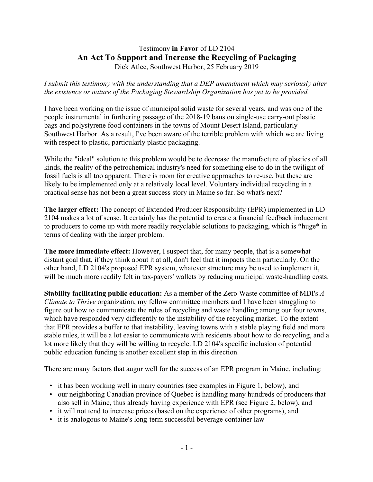## Testimony **in Favor** of LD 2104 **An Act To Support and Increase the Recycling of Packaging** Dick Atlee, Southwest Harbor, 25 February 2019

*I submit this testimony with the understanding that a DEP amendment which may seriously alter the existence or nature of the Packaging Stewardship Organization has yet to be provided.*

I have been working on the issue of municipal solid waste for several years, and was one of the people instrumental in furthering passage of the 2018-19 bans on single-use carry-out plastic bags and polystyrene food containers in the towns of Mount Desert Island, particularly Southwest Harbor. As a result, I've been aware of the terrible problem with which we are living with respect to plastic, particularly plastic packaging.

While the "ideal" solution to this problem would be to decrease the manufacture of plastics of all kinds, the reality of the petrochemical industry's need for something else to do in the twilight of fossil fuels is all too apparent. There is room for creative approaches to re-use, but these are likely to be implemented only at a relatively local level. Voluntary individual recycling in a practical sense has not been a great success story in Maine so far. So what's next?

**The larger effect:** The concept of Extended Producer Responsibility (EPR) implemented in LD 2104 makes a lot of sense. It certainly has the potential to create a financial feedback inducement to producers to come up with more readily recyclable solutions to packaging, which is \*huge\* in terms of dealing with the larger problem.

**The more immediate effect:** However, I suspect that, for many people, that is a somewhat distant goal that, if they think about it at all, don't feel that it impacts them particularly. On the other hand, LD 2104's proposed EPR system, whatever structure may be used to implement it, will be much more readily felt in tax-payers' wallets by reducing municipal waste-handling costs.

**Stability facilitating public education:** As a member of the Zero Waste committee of MDI's *A Climate to Thrive* organization, my fellow committee members and I have been struggling to figure out how to communicate the rules of recycling and waste handling among our four towns, which have responded very differently to the instability of the recycling market. To the extent that EPR provides a buffer to that instability, leaving towns with a stable playing field and more stable rules, it will be a lot easier to communicate with residents about how to do recycling, and a lot more likely that they will be willing to recycle. LD 2104's specific inclusion of potential public education funding is another excellent step in this direction.

There are many factors that augur well for the success of an EPR program in Maine, including:

- it has been working well in many countries (see examples in Figure 1, below), and
- our neighboring Canadian province of Quebec is handling many hundreds of producers that also sell in Maine, thus already having experience with EPR (see Figure 2, below), and
- it will not tend to increase prices (based on the experience of other programs), and
- it is analogous to Maine's long-term successful beverage container law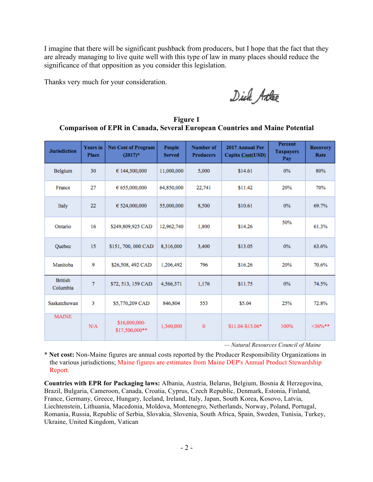I imagine that there will be significant pushback from producers, but I hope that the fact that they are already managing to live quite well with this type of law in many places should reduce the significance of that opposition as you consider this legislation.

Thanks very much for your consideration.

Dick Atte

**Figure 1 Comparison of EPR in Canada, Several European Countries and Maine Potential**

| <b>Jurisdiction</b>        | <b>Years</b> in<br><b>Place</b> | <b>Net Cost of Program</b><br>$(2017)^*$ | People<br><b>Served</b> | Number of<br><b>Producers</b> | 2017 Annual Per<br>Capita Cost(USD) | Percent<br><b>Taxpayers</b><br>Pay | <b>Recovery</b><br>Rate |
|----------------------------|---------------------------------|------------------------------------------|-------------------------|-------------------------------|-------------------------------------|------------------------------------|-------------------------|
| Belgium                    | 30                              | € 144,300,000                            | 11,000,000              | 5,000                         | \$14.61                             | $0\%$                              | 80%                     |
| France                     | 27                              | 655,000,000                              | 64,850,000              | 22,741                        | \$11.42                             | 20%                                | 70%                     |
| Italy                      | 22                              | € 524,000,000                            | 55,000,000              | 8,500                         | \$10.61                             | 0%                                 | 69.7%                   |
| Ontario                    | 16                              | \$249,809,925 CAD                        | 12,962,740              | 1,800                         | \$14.26                             | 50%                                | 61.3%                   |
| Quebec                     | 15                              | \$151, 700, 000 CAD                      | 8.316.000               | 3,400                         | \$13.05                             | 0%                                 | 63.6%                   |
| Manitoba                   | 9                               | \$26,508, 492 CAD                        | 1,206,492               | 796                           | \$16.26                             | 20%                                | 70.6%                   |
| <b>British</b><br>Columbia | 7                               | \$72, 513, 159 CAD                       | 4,566,371               | 1,176                         | \$11.75                             | 0%                                 | 74.5%                   |
| Saskatchewan               | 3                               | \$5,770,209 CAD                          | 846,804                 | 553                           | \$5.04                              | 25%                                | 72.8%                   |
| <b>MAINE</b>               | N/A                             | \$16,000,000-<br>\$17,500,000**          | 1,340,000               | 0                             | \$11.04-\$13.06*                    | 100%                               | $<$ 36%**               |

*— Natural Resources Council of Maine*

\* **Net cost:** Non-Maine figures are annual costs reported by the Producer Responsibility Organizations in the various jurisdictions; Maine figures are estimates from Maine DEP's Annual Product Stewardship Report.

**Countries with EPR for Packaging laws:** Albania, Austria, Belarus, Belgium, Bosnia & Herzegovina, Brazil, Bulgaria, Cameroon, Canada, Croatia, Cyprus, Czech Republic, Denmark, Estonia, Finland, France, Germany, Greece, Hungary, Iceland, Ireland, Italy, Japan, South Korea, Kosovo, Latvia, Liechtenstein, Lithuania, Macedonia, Moldova, Montenegro, Netherlands, Norway, Poland, Portugal, Romania, Russia, Republic of Serbia, Slovakia, Slovenia, South Africa, Spain, Sweden, Tunisia, Turkey, Ukraine, United Kingdom, Vatican